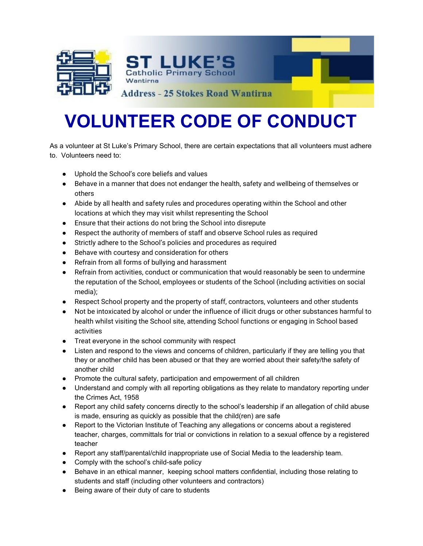



**Address - 25 Stokes Road Wantirna** 

## **VOLUNTEER CODE OF CONDUCT**

As a volunteer at St Luke's Primary School, there are certain expectations that all volunteers must adhere to. Volunteers need to:

- Uphold the School's core beliefs and values
- Behave in a manner that does not endanger the health, safety and wellbeing of themselves or others
- Abide by all health and safety rules and procedures operating within the School and other locations at which they may visit whilst representing the School
- Ensure that their actions do not bring the School into disrepute
- Respect the authority of members of staff and observe School rules as required
- Strictly adhere to the School's policies and procedures as required
- Behave with courtesy and consideration for others
- Refrain from all forms of bullying and harassment
- Refrain from activities, conduct or communication that would reasonably be seen to undermine the reputation of the School, employees or students of the School (including activities on social media);
- Respect School property and the property of staff, contractors, volunteers and other students
- Not be intoxicated by alcohol or under the influence of illicit drugs or other substances harmful to health whilst visiting the School site, attending School functions or engaging in School based activities
- Treat everyone in the school community with respect
- Listen and respond to the views and concerns of children, particularly if they are telling you that they or another child has been abused or that they are worried about their safety/the safety of another child
- Promote the cultural safety, participation and empowerment of all children
- Understand and comply with all reporting obligations as they relate to mandatory reporting under the Crimes Act, 1958
- Report any child safety concerns directly to the school's leadership if an allegation of child abuse is made, ensuring as quickly as possible that the child(ren) are safe
- Report to the Victorian Institute of Teaching any allegations or concerns about a registered teacher, charges, committals for trial or convictions in relation to a sexual offence by a registered teacher
- Report any staff/parental/child inappropriate use of Social Media to the leadership team.
- Comply with the school's child-safe policy
- Behave in an ethical manner, keeping school matters confidential, including those relating to students and staff (including other volunteers and contractors)
- Being aware of their duty of care to students